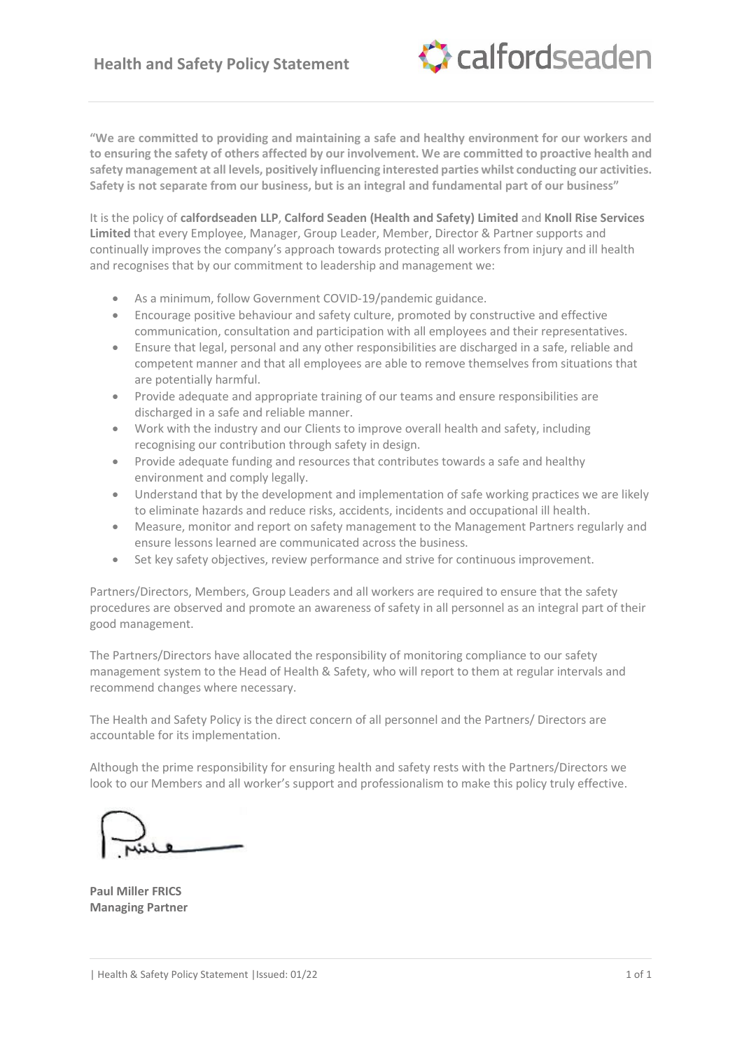

**"We are committed to providing and maintaining a safe and healthy environment for our workers and to ensuring the safety of others affected by our involvement. We are committed to proactive health and safety management at all levels, positively influencing interested parties whilst conducting our activities. Safety is not separate from our business, but is an integral and fundamental part of our business"**

It is the policy of **calfordseaden LLP**, **Calford Seaden (Health and Safety) Limited** and **Knoll Rise Services Limited** that every Employee, Manager, Group Leader, Member, Director & Partner supports and continually improves the company's approach towards protecting all workers from injury and ill health and recognises that by our commitment to leadership and management we:

- As a minimum, follow Government COVID-19/pandemic guidance.
- Encourage positive behaviour and safety culture, promoted by constructive and effective communication, consultation and participation with all employees and their representatives.
- Ensure that legal, personal and any other responsibilities are discharged in a safe, reliable and competent manner and that all employees are able to remove themselves from situations that are potentially harmful.
- Provide adequate and appropriate training of our teams and ensure responsibilities are discharged in a safe and reliable manner.
- Work with the industry and our Clients to improve overall health and safety, including recognising our contribution through safety in design.
- Provide adequate funding and resources that contributes towards a safe and healthy environment and comply legally.
- Understand that by the development and implementation of safe working practices we are likely to eliminate hazards and reduce risks, accidents, incidents and occupational ill health.
- Measure, monitor and report on safety management to the Management Partners regularly and ensure lessons learned are communicated across the business.
- Set key safety objectives, review performance and strive for continuous improvement.

Partners/Directors, Members, Group Leaders and all workers are required to ensure that the safety procedures are observed and promote an awareness of safety in all personnel as an integral part of their good management.

The Partners/Directors have allocated the responsibility of monitoring compliance to our safety management system to the Head of Health & Safety, who will report to them at regular intervals and recommend changes where necessary.

The Health and Safety Policy is the direct concern of all personnel and the Partners/ Directors are accountable for its implementation.

Although the prime responsibility for ensuring health and safety rests with the Partners/Directors we look to our Members and all worker's support and professionalism to make this policy truly effective.

**Paul Miller FRICS Managing Partner**